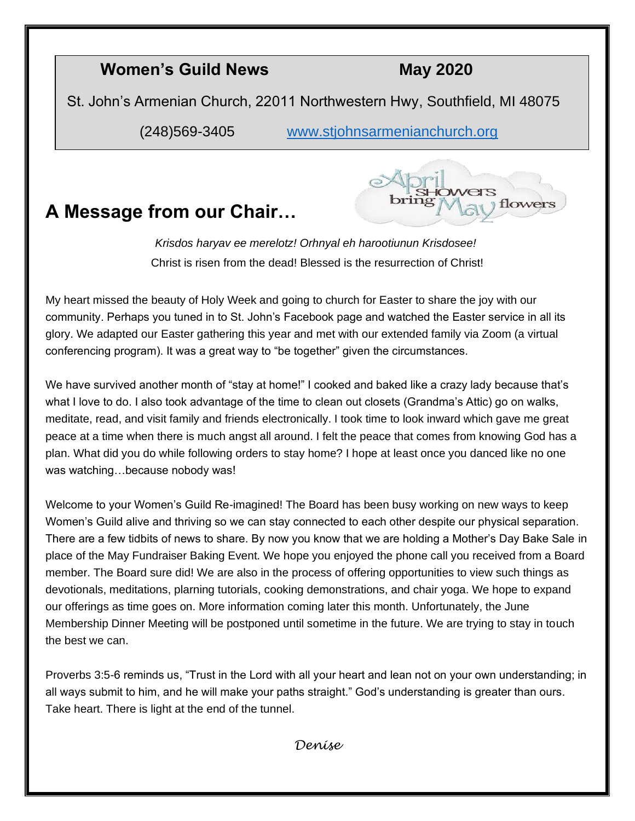#### **Women's Guild News May 2020**

St. John's Armenian Church, 22011 Northwestern Hwy, Southfield, MI 48075

(248)569-3405 [www.stjohnsarmenianchurch.org](http://www.stjohnsarmenianchurch.org/)

## **A Message from our Chair…**



*Krisdos haryav ee merelotz! Orhnyal eh harootiunun Krisdosee!* Christ is risen from the dead! Blessed is the resurrection of Christ!

My heart missed the beauty of Holy Week and going to church for Easter to share the joy with our community. Perhaps you tuned in to St. John's Facebook page and watched the Easter service in all its glory. We adapted our Easter gathering this year and met with our extended family via Zoom (a virtual conferencing program). It was a great way to "be together" given the circumstances.

We have survived another month of "stay at home!" I cooked and baked like a crazy lady because that's what I love to do. I also took advantage of the time to clean out closets (Grandma's Attic) go on walks, meditate, read, and visit family and friends electronically. I took time to look inward which gave me great peace at a time when there is much angst all around. I felt the peace that comes from knowing God has a plan. What did you do while following orders to stay home? I hope at least once you danced like no one was watching...because nobody was!

Welcome to your Women's Guild Re-imagined! The Board has been busy working on new ways to keep Women's Guild alive and thriving so we can stay connected to each other despite our physical separation. There are a few tidbits of news to share. By now you know that we are holding a Mother's Day Bake Sale in place of the May Fundraiser Baking Event. We hope you enjoyed the phone call you received from a Board member. The Board sure did! We are also in the process of offering opportunities to view such things as devotionals, meditations, plarning tutorials, cooking demonstrations, and chair yoga. We hope to expand our offerings as time goes on. More information coming later this month. Unfortunately, the June Membership Dinner Meeting will be postponed until sometime in the future. We are trying to stay in touch the best we can.

Proverbs 3:5-6 reminds us, "Trust in the Lord with all your heart and lean not on your own understanding; in all ways submit to him, and he will make your paths straight." God's understanding is greater than ours. Take heart. There is light at the end of the tunnel.

*Denise*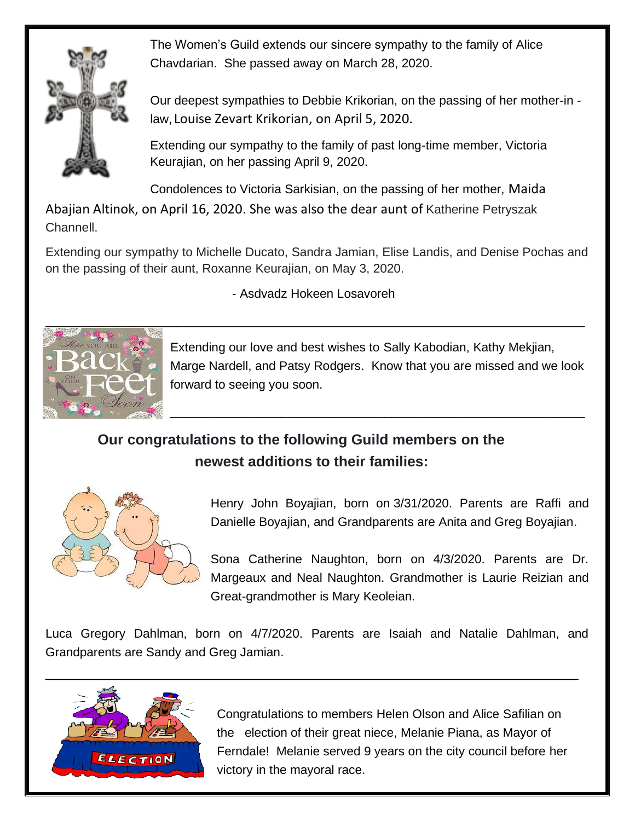

The Women's Guild extends our sincere sympathy to the family of Alice Chavdarian. She passed away on March 28, 2020.

Our deepest sympathies to Debbie Krikorian, on the passing of her mother-in law, Louise Zevart Krikorian, on April 5, 2020.

Extending our sympathy to the family of past long-time member, Victoria Keurajian, on her passing April 9, 2020.

Condolences to Victoria Sarkisian, on the passing of her mother, Maida

Abajian Altinok, on April 16, 2020. She was also the dear aunt of Katherine Petryszak Channell.

Extending our sympathy to Michelle Ducato, Sandra Jamian, Elise Landis, and Denise Pochas and on the passing of their aunt, Roxanne Keurajian, on May 3, 2020.

- Asdvadz Hokeen Losavoreh



Extending our love and best wishes to Sally Kabodian, Kathy Mekjian, Marge Nardell, and Patsy Rodgers. Know that you are missed and we look forward to seeing you soon.

\_\_\_\_\_\_\_\_\_\_\_\_\_\_\_\_\_\_\_\_\_\_\_\_\_\_\_\_\_\_\_\_\_\_\_\_\_\_\_\_\_\_\_\_\_\_\_\_\_\_\_\_\_\_\_\_\_\_\_\_

### **Our congratulations to the following Guild members on the newest additions to their families:**



Henry John Boyajian, born on 3/31/2020. Parents are Raffi and Danielle Boyajian, and Grandparents are Anita and Greg Boyajian.

Sona Catherine Naughton, born on 4/3/2020. Parents are Dr. Margeaux and Neal Naughton. Grandmother is Laurie Reizian and Great-grandmother is Mary Keoleian.

Luca Gregory Dahlman, born on 4/7/2020. Parents are Isaiah and Natalie Dahlman, and Grandparents are Sandy and Greg Jamian.



Congratulations to members Helen Olson and Alice Safilian on the election of their great niece, Melanie Piana, as Mayor of Ferndale! Melanie served 9 years on the city council before her victory in the mayoral race.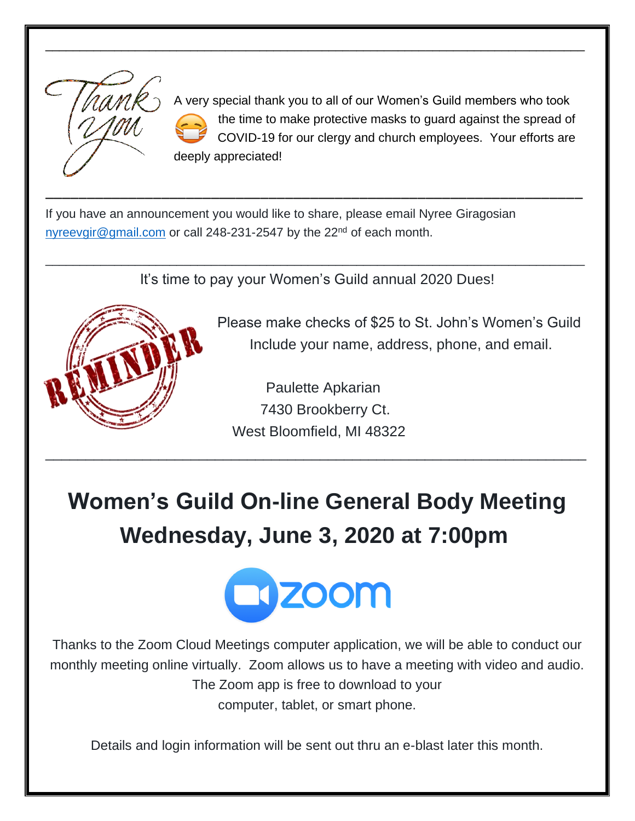

A very special thank you to all of our Women's Guild members who took the time to make protective masks to guard against the spread of COVID-19 for our clergy and church employees. Your efforts are deeply appreciated!

If you have an announcement you would like to share, please email Nyree Giragosian [nyreevgir@gmail.com](mailto:nyreevgir@gmail.com) or call 248-231-2547 by the 22<sup>nd</sup> of each month.

It's time to pay your Women's Guild annual 2020 Dues!

\_\_\_\_\_\_\_\_\_\_\_\_\_\_\_\_\_\_\_\_\_\_\_\_\_\_\_\_\_\_\_\_\_\_\_\_\_\_\_\_\_\_\_\_\_\_\_\_\_\_\_\_\_\_\_\_\_\_\_\_\_\_\_\_\_\_\_\_\_\_\_\_\_\_\_\_\_\_

\_\_\_\_\_\_\_\_\_\_\_\_\_\_\_\_\_\_\_\_\_\_\_\_\_\_\_\_\_\_\_\_\_\_\_\_\_\_\_\_\_\_\_\_\_\_\_\_\_\_\_\_\_\_\_\_\_\_\_\_\_\_\_\_\_

\_\_\_\_\_\_\_\_\_\_\_\_\_\_\_\_\_\_\_\_\_\_\_\_\_\_\_\_\_\_\_\_\_\_\_\_\_\_\_\_\_\_\_\_\_\_\_\_\_\_\_\_\_\_\_\_\_\_\_\_\_\_\_\_\_\_\_\_\_\_\_\_\_\_\_\_\_\_



Please make checks of \$25 to St. John's Women's Guild Include your name, address, phone, and email.

 Paulette Apkarian 7430 Brookberry Ct. West Bloomfield, MI 48322

\_\_\_\_\_\_\_\_\_\_\_\_\_\_\_\_\_\_\_\_\_\_\_\_\_\_\_\_\_\_\_\_\_\_\_\_\_\_\_\_\_\_\_\_\_\_\_\_\_\_\_\_\_\_\_\_\_\_\_\_\_\_\_\_\_\_\_

## **Women's Guild On-line General Body Meeting Wednesday, June 3, 2020 at 7:00pm**



Thanks to the Zoom Cloud Meetings computer application, we will be able to conduct our monthly meeting online virtually. Zoom allows us to have a meeting with video and audio. The Zoom app is free to download to your computer, tablet, or smart phone.

Details and login information will be sent out thru an e-blast later this month.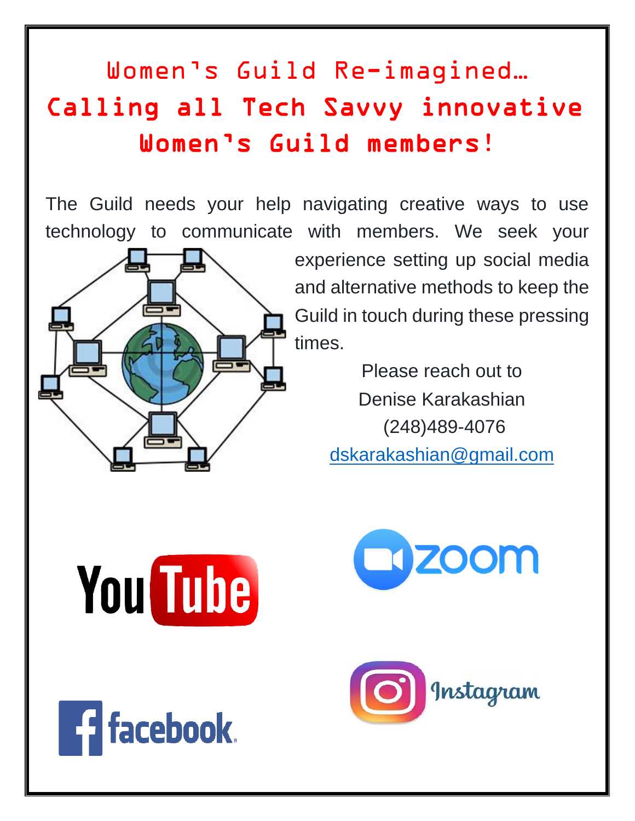# Women's Guild Re-imagined… Calling all Tech Savvy innovative Women's Guild members!

The Guild needs your help navigating creative ways to use technology to communicate with members. We seek your



experience setting up social media and alternative methods to keep the Guild in touch during these pressing times.

> Please reach out to Denise Karakashian (248)489-4076 [dskarakashian@gmail.com](mailto:dskarakashian@gmail.com)



**Ed** facebook.



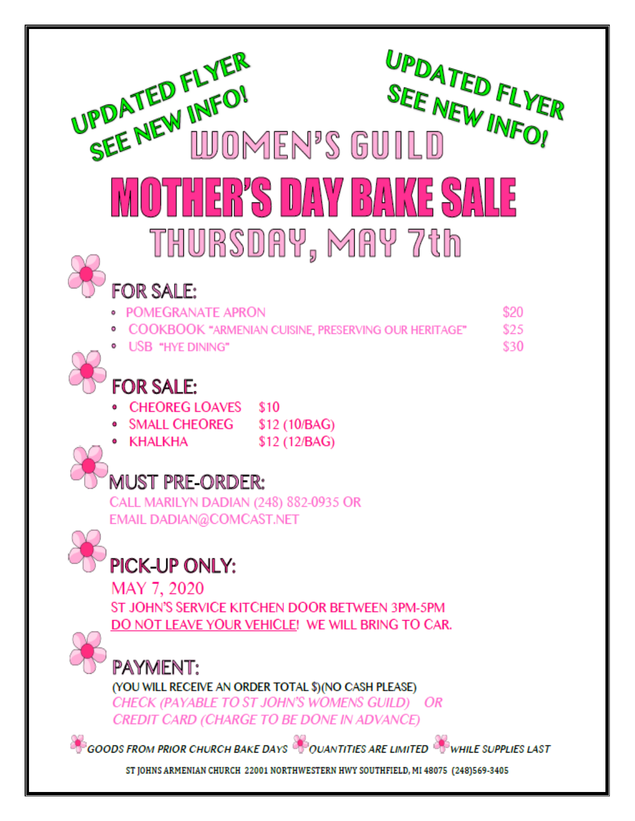| UPDATED FLYER<br>UPDATED FLYER<br>SEE NEW INFO!<br>SEE NEW INFO!<br><b>WOMEN'S GUILD</b>                                                                       |
|----------------------------------------------------------------------------------------------------------------------------------------------------------------|
| THER'S DAY BAKE SALE                                                                                                                                           |
| THURSDAY, MAY 7th<br>FOR SALE:                                                                                                                                 |
| \$20<br><b>POMEGRANATE APRON</b>                                                                                                                               |
| COOKBOOK "ARMENIAN CUISINE, PRESERVING OUR HERITAGE"<br>\$25                                                                                                   |
| \$30<br>• USB "HYE DINING"                                                                                                                                     |
| <b>FOR SALE:</b>                                                                                                                                               |
| <b>CHEOREG LOAVES</b><br>\$10                                                                                                                                  |
| <b>SMALL CHEOREG</b><br>\$12 (10/BAG)                                                                                                                          |
| \$12 (12/BAG)<br>• KHALKHA                                                                                                                                     |
| IUST PRE-ORDER:                                                                                                                                                |
| CALL MARILYN DADIAN (248) 882-0935 OR                                                                                                                          |
| EMAIL DADIAN@COMCAST.NET                                                                                                                                       |
| PICK-UP ONLY:                                                                                                                                                  |
| MAY 7, 2020                                                                                                                                                    |
| ST JOHN'S SERVICE KITCHEN DOOR BETWEEN 3PM-5PM                                                                                                                 |
| DO NOT LEAVE YOUR VEHICLE! WE WILL BRING TO CAR.                                                                                                               |
| PAYMENT:<br>(YOU WILL RECEIVE AN ORDER TOTAL \$)(NO CASH PLEASE)<br>CHECK (PAYABLE TO ST JOHN'S WOMENS GUILD) OR<br>CREDIT CARD (CHARGE TO BE DONE IN ADVANCE) |
| GOODS FROM PRIOR CHURCH BAKE DAYS COUANTITIES ARE LIMITED COWHILE SUPPLIES LAST                                                                                |
| ST JOHNS ARMENIAN CHURCH 22001 NORTHWESTERN HWY SOUTHFIELD, MI 48075 (248)569-3405                                                                             |